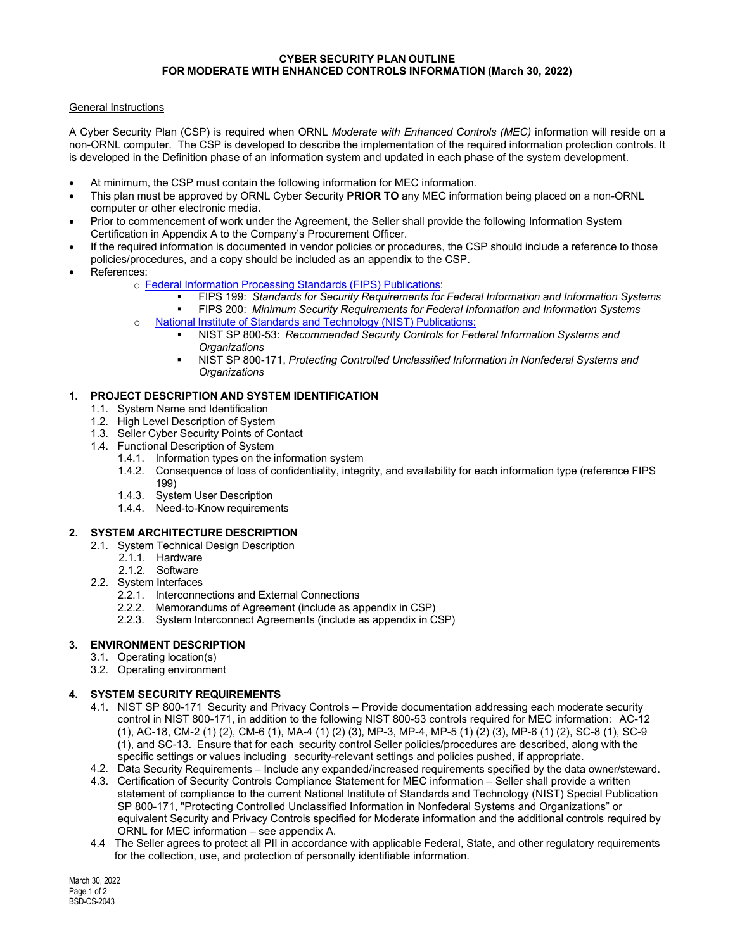#### **CYBER SECURITY PLAN OUTLINE FOR MODERATE WITH ENHANCED CONTROLS INFORMATION (March 30, 2022)**

## General Instructions

A Cyber Security Plan (CSP) is required when ORNL *Moderate with Enhanced Controls (MEC)* information will reside on a non-ORNL computer. The CSP is developed to describe the implementation of the required information protection controls. It is developed in the Definition phase of an information system and updated in each phase of the system development.

- At minimum, the CSP must contain the following information for MEC information.
- This plan must be approved by ORNL Cyber Security **PRIOR TO** any MEC information being placed on a non-ORNL computer or other electronic media.
- Prior to commencement of work under the Agreement, the Seller shall provide the following Information System Certification in Appendix A to the Company's Procurement Officer.
- If the required information is documented in vendor policies or procedures, the CSP should include a reference to those policies/procedures, and a copy should be included as an appendix to the CSP.
- References:
	- o Federal Information Processing [Standards \(FIPS\) Publications:](http://csrc.nist.gov/publications/PubsFIPS.html)
		- FIPS 199: *Standards for Security Requirements for Federal Information and Information Systems*
		- FIPS 200: *Minimum Security Requirements for Federal Information and Information Systems*
	- o National Institute of Standards and [Technology \(NIST\) Publications:](http://csrc.nist.gov/publications/PubsSPs.html)
		- NIST SP 800-53: *Recommended Security Controls for Federal Information Systems and Organizations*
		- NIST SP 800-171, *Protecting Controlled Unclassified Information in Nonfederal Systems and Organizations*

## **1. PROJECT DESCRIPTION AND SYSTEM IDENTIFICATION**

- 1.1. System Name and Identification
- 1.2. High Level Description of System
- 1.3. Seller Cyber Security Points of Contact
- 1.4. Functional Description of System
	- 1.4.1. Information types on the information system
	- 1.4.2. Consequence of loss of confidentiality, integrity, and availability for each information type (reference FIPS 199)
	- 1.4.3. System User Description
	- 1.4.4. Need-to-Know requirements

### **2. SYSTEM ARCHITECTURE DESCRIPTION**

- 2.1. System Technical Design Description
	- 2.1.1. Hardware
	- 2.1.2. Software
- 2.2. System Interfaces
	- 2.2.1. Interconnections and External Connections
	- 2.2.2. Memorandums of Agreement (include as appendix in CSP)
	- 2.2.3. System Interconnect Agreements (include as appendix in CSP)

# **3. ENVIRONMENT DESCRIPTION**

- 3.1. Operating location(s)
- 3.2. Operating environment

# **4. SYSTEM SECURITY REQUIREMENTS**

- 4.1. NIST SP 800-171 Security and Privacy Controls Provide documentation addressing each moderate security control in NIST 800-171, in addition to the following NIST 800-53 controls required for MEC information: AC-12 (1), AC-18, CM-2 (1) (2), CM-6 (1), MA-4 (1) (2) (3), MP-3, MP-4, MP-5 (1) (2) (3), MP-6 (1) (2), SC-8 (1), SC-9 (1), and SC-13. Ensure that for each security control Seller policies/procedures are described, along with the specific settings or values including security-relevant settings and policies pushed, if appropriate.
- 4.2. Data Security Requirements Include any expanded/increased requirements specified by the data owner/steward.
- 4.3. Certification of Security Controls Compliance Statement for MEC information Seller shall provide a written statement of compliance to the current National Institute of Standards and Technology (NIST) Special Publication SP 800-171, "Protecting Controlled Unclassified Information in Nonfederal Systems and Organizations" or equivalent Security and Privacy Controls specified for Moderate information and the additional controls required by ORNL for MEC information – see appendix A.
- 4.4 The Seller agrees to protect all PII in accordance with applicable Federal, State, and other regulatory requirements for the collection, use, and protection of personally identifiable information.

March 30, 2022 Page 1 of 2 BSD-CS-2043